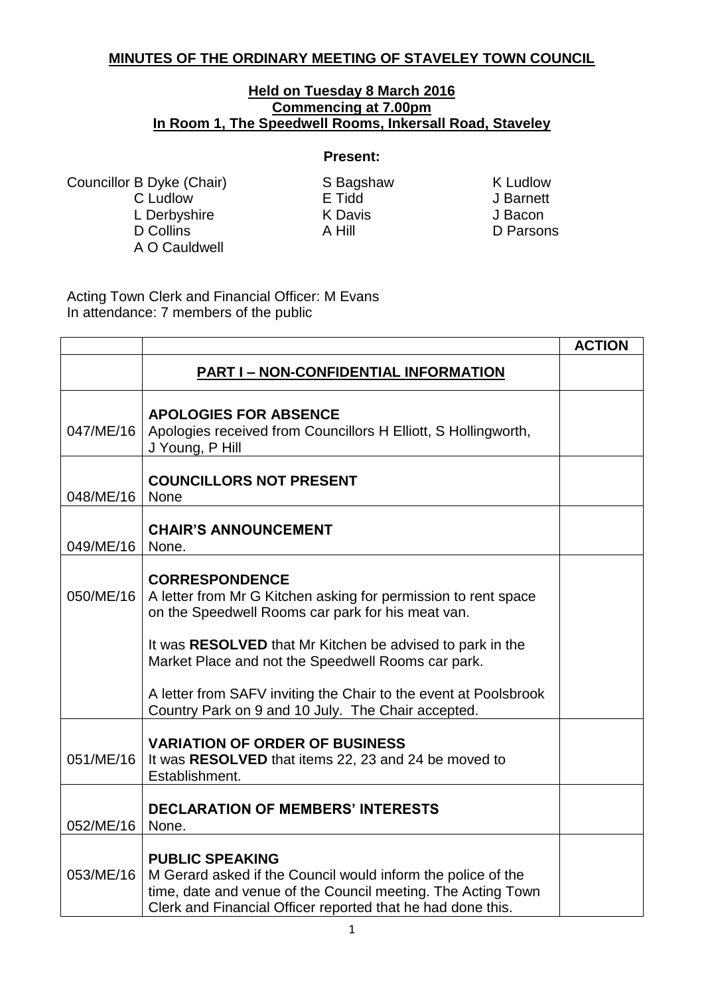## **MINUTES OF THE ORDINARY MEETING OF STAVELEY TOWN COUNCIL**

## **Held on Tuesday 8 March 2016 Commencing at 7.00pm In Room 1, The Speedwell Rooms, Inkersall Road, Staveley**

## **Present:**

Councillor B Dyke (Chair) S Bagshaw K Ludlow C Ludlow E Tidd J Barnett L Derbyshire K Davis J Bacon A O Cauldwell

D Parsons

Acting Town Clerk and Financial Officer: M Evans In attendance: 7 members of the public

|           |                                                                                                                                                                                                                       | <b>ACTION</b> |
|-----------|-----------------------------------------------------------------------------------------------------------------------------------------------------------------------------------------------------------------------|---------------|
|           | <b>PART I-NON-CONFIDENTIAL INFORMATION</b>                                                                                                                                                                            |               |
| 047/ME/16 | <b>APOLOGIES FOR ABSENCE</b><br>Apologies received from Councillors H Elliott, S Hollingworth,<br>J Young, P Hill                                                                                                     |               |
| 048/ME/16 | <b>COUNCILLORS NOT PRESENT</b><br>None                                                                                                                                                                                |               |
| 049/ME/16 | <b>CHAIR'S ANNOUNCEMENT</b><br>None.                                                                                                                                                                                  |               |
| 050/ME/16 | <b>CORRESPONDENCE</b><br>A letter from Mr G Kitchen asking for permission to rent space<br>on the Speedwell Rooms car park for his meat van.                                                                          |               |
|           | It was RESOLVED that Mr Kitchen be advised to park in the<br>Market Place and not the Speedwell Rooms car park.                                                                                                       |               |
|           | A letter from SAFV inviting the Chair to the event at Poolsbrook<br>Country Park on 9 and 10 July. The Chair accepted.                                                                                                |               |
| 051/ME/16 | <b>VARIATION OF ORDER OF BUSINESS</b><br>It was RESOLVED that items 22, 23 and 24 be moved to<br>Establishment.                                                                                                       |               |
| 052/ME/16 | <b>DECLARATION OF MEMBERS' INTERESTS</b><br>None.                                                                                                                                                                     |               |
| 053/ME/16 | <b>PUBLIC SPEAKING</b><br>M Gerard asked if the Council would inform the police of the<br>time, date and venue of the Council meeting. The Acting Town<br>Clerk and Financial Officer reported that he had done this. |               |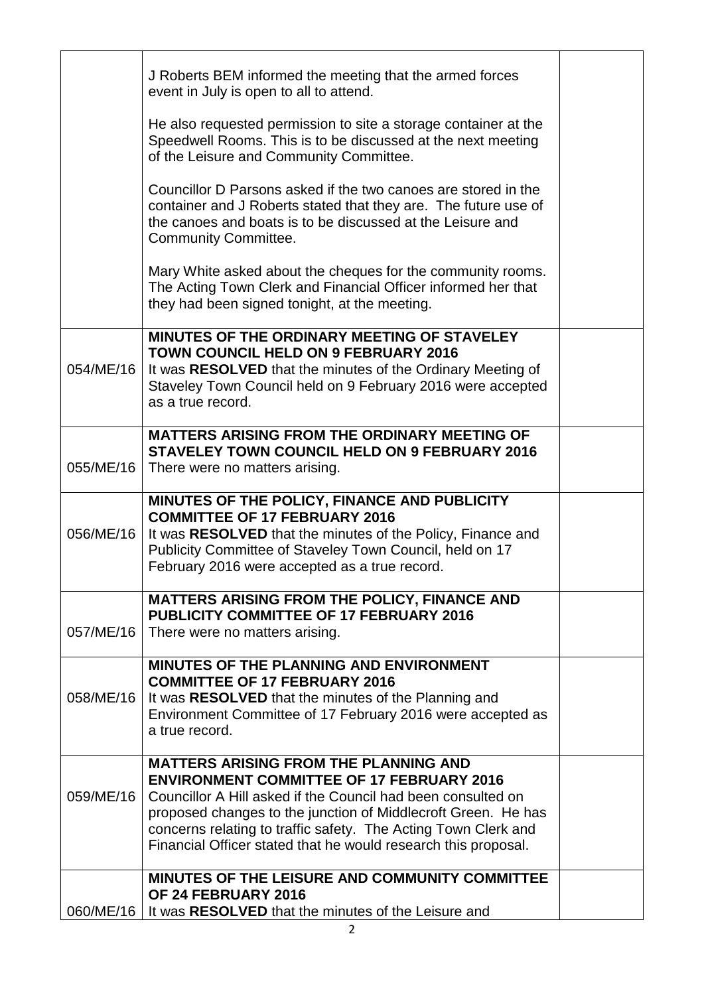|           | J Roberts BEM informed the meeting that the armed forces<br>event in July is open to all to attend.                                                                                                                                                                                                                                                                   |  |
|-----------|-----------------------------------------------------------------------------------------------------------------------------------------------------------------------------------------------------------------------------------------------------------------------------------------------------------------------------------------------------------------------|--|
|           | He also requested permission to site a storage container at the<br>Speedwell Rooms. This is to be discussed at the next meeting<br>of the Leisure and Community Committee.                                                                                                                                                                                            |  |
|           | Councillor D Parsons asked if the two canoes are stored in the<br>container and J Roberts stated that they are. The future use of<br>the canoes and boats is to be discussed at the Leisure and<br><b>Community Committee.</b>                                                                                                                                        |  |
|           | Mary White asked about the cheques for the community rooms.<br>The Acting Town Clerk and Financial Officer informed her that<br>they had been signed tonight, at the meeting.                                                                                                                                                                                         |  |
| 054/ME/16 | MINUTES OF THE ORDINARY MEETING OF STAVELEY<br><b>TOWN COUNCIL HELD ON 9 FEBRUARY 2016</b><br>It was RESOLVED that the minutes of the Ordinary Meeting of<br>Staveley Town Council held on 9 February 2016 were accepted<br>as a true record.                                                                                                                         |  |
| 055/ME/16 | <b>MATTERS ARISING FROM THE ORDINARY MEETING OF</b><br><b>STAVELEY TOWN COUNCIL HELD ON 9 FEBRUARY 2016</b><br>There were no matters arising.                                                                                                                                                                                                                         |  |
| 056/ME/16 | MINUTES OF THE POLICY, FINANCE AND PUBLICITY<br><b>COMMITTEE OF 17 FEBRUARY 2016</b><br>It was RESOLVED that the minutes of the Policy, Finance and<br>Publicity Committee of Staveley Town Council, held on 17<br>February 2016 were accepted as a true record.                                                                                                      |  |
| 057/ME/16 | <b>MATTERS ARISING FROM THE POLICY, FINANCE AND</b><br><b>PUBLICITY COMMITTEE OF 17 FEBRUARY 2016</b><br>There were no matters arising.                                                                                                                                                                                                                               |  |
| 058/ME/16 | <b>MINUTES OF THE PLANNING AND ENVIRONMENT</b><br><b>COMMITTEE OF 17 FEBRUARY 2016</b><br>It was RESOLVED that the minutes of the Planning and<br>Environment Committee of 17 February 2016 were accepted as<br>a true record.                                                                                                                                        |  |
| 059/ME/16 | <b>MATTERS ARISING FROM THE PLANNING AND</b><br><b>ENVIRONMENT COMMITTEE OF 17 FEBRUARY 2016</b><br>Councillor A Hill asked if the Council had been consulted on<br>proposed changes to the junction of Middlecroft Green. He has<br>concerns relating to traffic safety. The Acting Town Clerk and<br>Financial Officer stated that he would research this proposal. |  |
| 060/ME/16 | MINUTES OF THE LEISURE AND COMMUNITY COMMITTEE<br>OF 24 FEBRUARY 2016<br>It was RESOLVED that the minutes of the Leisure and                                                                                                                                                                                                                                          |  |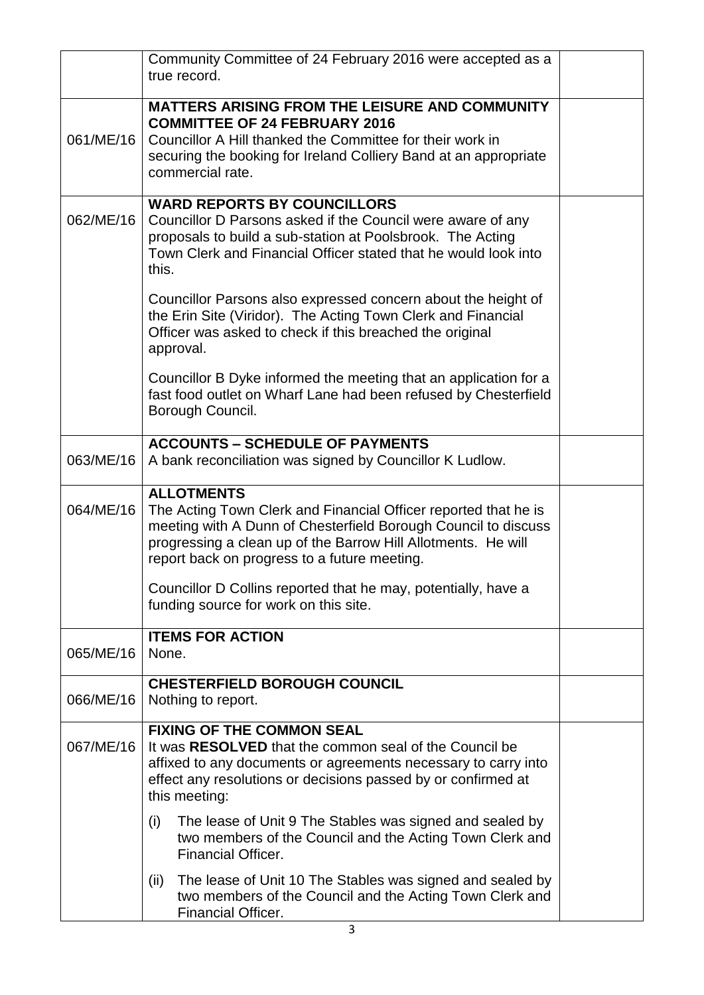|           | Community Committee of 24 February 2016 were accepted as a<br>true record.                                                                                                                                                                                              |  |
|-----------|-------------------------------------------------------------------------------------------------------------------------------------------------------------------------------------------------------------------------------------------------------------------------|--|
| 061/ME/16 | <b>MATTERS ARISING FROM THE LEISURE AND COMMUNITY</b><br><b>COMMITTEE OF 24 FEBRUARY 2016</b><br>Councillor A Hill thanked the Committee for their work in<br>securing the booking for Ireland Colliery Band at an appropriate<br>commercial rate.                      |  |
| 062/ME/16 | <b>WARD REPORTS BY COUNCILLORS</b><br>Councillor D Parsons asked if the Council were aware of any<br>proposals to build a sub-station at Poolsbrook. The Acting<br>Town Clerk and Financial Officer stated that he would look into<br>this.                             |  |
|           | Councillor Parsons also expressed concern about the height of<br>the Erin Site (Viridor). The Acting Town Clerk and Financial<br>Officer was asked to check if this breached the original<br>approval.                                                                  |  |
|           | Councillor B Dyke informed the meeting that an application for a<br>fast food outlet on Wharf Lane had been refused by Chesterfield<br>Borough Council.                                                                                                                 |  |
| 063/ME/16 | <b>ACCOUNTS - SCHEDULE OF PAYMENTS</b><br>A bank reconciliation was signed by Councillor K Ludlow.                                                                                                                                                                      |  |
| 064/ME/16 | <b>ALLOTMENTS</b><br>The Acting Town Clerk and Financial Officer reported that he is<br>meeting with A Dunn of Chesterfield Borough Council to discuss<br>progressing a clean up of the Barrow Hill Allotments. He will<br>report back on progress to a future meeting. |  |
|           | Councillor D Collins reported that he may, potentially, have a<br>funding source for work on this site.                                                                                                                                                                 |  |
| 065/ME/16 | <b>ITEMS FOR ACTION</b><br>None.                                                                                                                                                                                                                                        |  |
| 066/ME/16 | <b>CHESTERFIELD BOROUGH COUNCIL</b><br>Nothing to report.                                                                                                                                                                                                               |  |
| 067/ME/16 | <b>FIXING OF THE COMMON SEAL</b><br>It was RESOLVED that the common seal of the Council be<br>affixed to any documents or agreements necessary to carry into<br>effect any resolutions or decisions passed by or confirmed at<br>this meeting:                          |  |
|           | (i)<br>The lease of Unit 9 The Stables was signed and sealed by<br>two members of the Council and the Acting Town Clerk and<br><b>Financial Officer.</b>                                                                                                                |  |
|           | The lease of Unit 10 The Stables was signed and sealed by<br>(ii)<br>two members of the Council and the Acting Town Clerk and<br>Financial Officer.                                                                                                                     |  |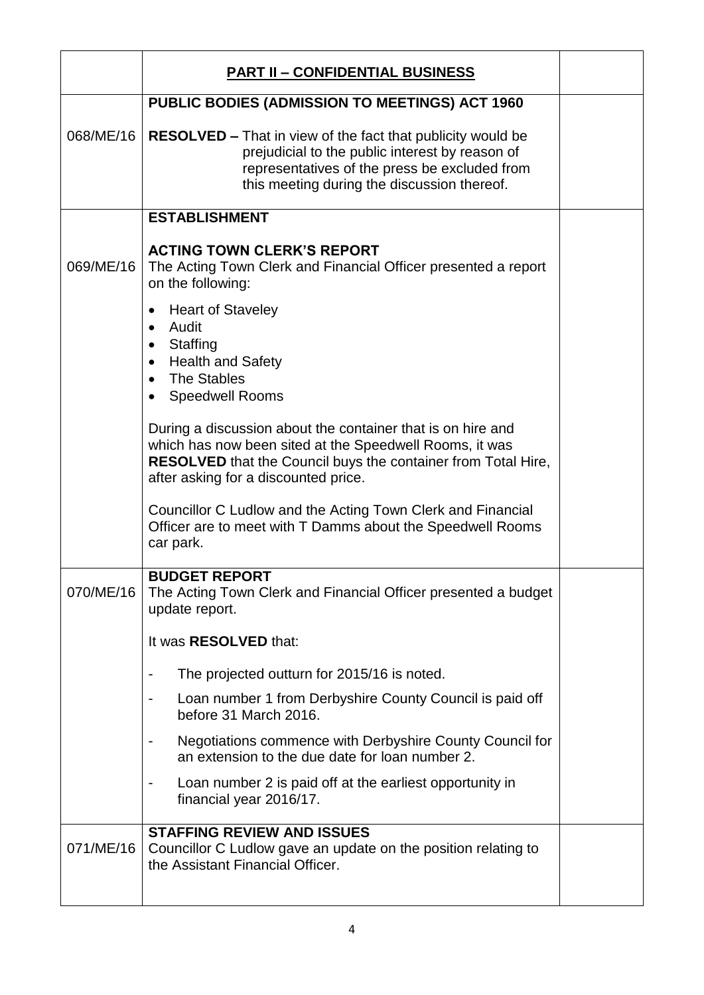|           | <b>PART II - CONFIDENTIAL BUSINESS</b>                                                                                                                                                                                                 |  |
|-----------|----------------------------------------------------------------------------------------------------------------------------------------------------------------------------------------------------------------------------------------|--|
|           | <b>PUBLIC BODIES (ADMISSION TO MEETINGS) ACT 1960</b>                                                                                                                                                                                  |  |
| 068/ME/16 | <b>RESOLVED – That in view of the fact that publicity would be</b><br>prejudicial to the public interest by reason of<br>representatives of the press be excluded from<br>this meeting during the discussion thereof.                  |  |
|           | <b>ESTABLISHMENT</b>                                                                                                                                                                                                                   |  |
| 069/ME/16 | <b>ACTING TOWN CLERK'S REPORT</b><br>The Acting Town Clerk and Financial Officer presented a report<br>on the following:                                                                                                               |  |
|           | <b>Heart of Staveley</b><br>Audit<br>Staffing<br>$\bullet$<br><b>Health and Safety</b><br>The Stables<br>$\bullet$<br><b>Speedwell Rooms</b>                                                                                           |  |
|           | During a discussion about the container that is on hire and<br>which has now been sited at the Speedwell Rooms, it was<br><b>RESOLVED</b> that the Council buys the container from Total Hire,<br>after asking for a discounted price. |  |
|           | Councillor C Ludlow and the Acting Town Clerk and Financial<br>Officer are to meet with T Damms about the Speedwell Rooms<br>car park.                                                                                                 |  |
| 070/ME/16 | <b>BUDGET REPORT</b><br>The Acting Town Clerk and Financial Officer presented a budget<br>update report.                                                                                                                               |  |
|           | It was RESOLVED that:                                                                                                                                                                                                                  |  |
|           | The projected outturn for 2015/16 is noted.<br>$\blacksquare$                                                                                                                                                                          |  |
|           | Loan number 1 from Derbyshire County Council is paid off<br>$\blacksquare$<br>before 31 March 2016.                                                                                                                                    |  |
|           | Negotiations commence with Derbyshire County Council for<br>an extension to the due date for loan number 2.                                                                                                                            |  |
|           | Loan number 2 is paid off at the earliest opportunity in<br>$\blacksquare$<br>financial year 2016/17.                                                                                                                                  |  |
| 071/ME/16 | <b>STAFFING REVIEW AND ISSUES</b><br>Councillor C Ludlow gave an update on the position relating to<br>the Assistant Financial Officer.                                                                                                |  |